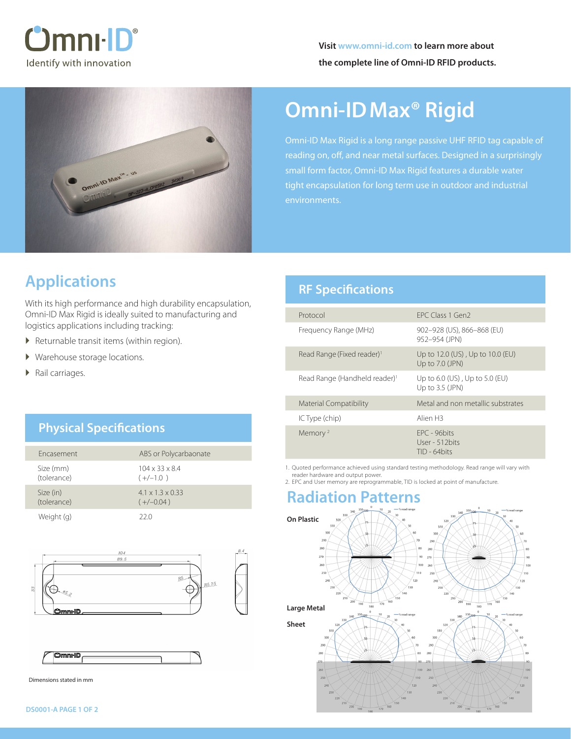



# **Omni-IDMax® Rigid**

Omni-ID Max Rigid is a long range passive UHF RFID tag capable of reading on, off, and near metal surfaces. Designed in a surprisingly small form factor, Omni-ID Max Rigid features a durable water tight encapsulation for long term use in outdoor and industrial

# **Applications**

With its high performance and high durability encapsulation, Omni-ID Max Rigid is ideally suited to manufacturing and logistics applications including tracking:

- � Returnable transit items (within region).
- � Warehouse storage locations.
- � Rail carriages.

### **Physical Specifications**

| Fncasement               | ABS or Polycarbaonate                       |
|--------------------------|---------------------------------------------|
| Size (mm)<br>(tolerance) | $104 \times 33 \times 8.4$<br>$(+/-1.0)$    |
| Size (in)<br>(tolerance) | $4.1 \times 1.3 \times 0.33$<br>$(+/-0.04)$ |
| Weight (g)               | 22 O                                        |





Dimensions stated in mm

### **RF Specifications**

| Protocol                                  | FPC Class 1 Gen2                                        |
|-------------------------------------------|---------------------------------------------------------|
| Frequency Range (MHz)                     | 902-928 (US), 866-868 (EU)<br>952-954 (JPN)             |
| Read Range (Fixed reader) <sup>1</sup>    | Up to 12.0 (US), Up to 10.0 (EU)<br>Up to 7.0 (JPN)     |
| Read Range (Handheld reader) <sup>1</sup> | Up to $6.0$ (US), Up to $5.0$ (EU)<br>Up to $3.5$ (JPN) |
| Material Compatibility                    | Metal and non metallic substrates                       |
| IC Type (chip)                            | Alien H3                                                |
| Memory <sup>2</sup>                       | FPC - 96bits<br>User - 512 bits<br>TID - 64 bits        |

1. Quoted performance achieved using standard testing methodology. Read range will vary with reader hardware and output power.

2. EPC and User memory are reprogrammable, TID is locked at point of manufacture.

# **Radiation Patterns**